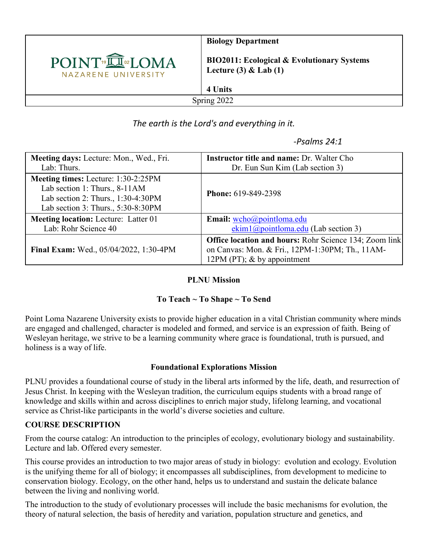

**Biology Department**

**BIO2011: Ecological & Evolutionary Systems Lecture (3) & Lab (1)**

Spring 2022

**4 Units** 

*The earth is the Lord's and everything in it.*

 *-Psalms 24:1*

| Meeting days: Lecture: Mon., Wed., Fri.     | <b>Instructor title and name: Dr. Walter Cho</b>              |  |  |
|---------------------------------------------|---------------------------------------------------------------|--|--|
| Lab: Thurs.                                 | Dr. Eun Sun Kim (Lab section 3)                               |  |  |
| Meeting times: Lecture: 1:30-2:25PM         |                                                               |  |  |
| Lab section 1: Thurs., 8-11AM               |                                                               |  |  |
| Lab section 2: Thurs., 1:30-4:30PM          | <b>Phone: 619-849-2398</b>                                    |  |  |
| Lab section 3: Thurs., 5:30-8:30PM          |                                                               |  |  |
| <b>Meeting location:</b> Lecture: Latter 01 | Email: wcho@pointloma.edu                                     |  |  |
| Lab: Rohr Science 40                        | $ekim1@pointloma.edu$ (Lab section 3)                         |  |  |
|                                             | <b>Office location and hours:</b> Rohr Science 134; Zoom link |  |  |
| Final Exam: Wed., 05/04/2022, 1:30-4PM      | on Canvas: Mon. & Fri., 12PM-1:30PM; Th., 11AM-               |  |  |
|                                             | 12PM (PT); $&$ by appointment                                 |  |  |

## **PLNU Mission**

## **To Teach ~ To Shape ~ To Send**

Point Loma Nazarene University exists to provide higher education in a vital Christian community where minds are engaged and challenged, character is modeled and formed, and service is an expression of faith. Being of Wesleyan heritage, we strive to be a learning community where grace is foundational, truth is pursued, and holiness is a way of life.

## **Foundational Explorations Mission**

PLNU provides a foundational course of study in the liberal arts informed by the life, death, and resurrection of Jesus Christ. In keeping with the Wesleyan tradition, the curriculum equips students with a broad range of knowledge and skills within and across disciplines to enrich major study, lifelong learning, and vocational service as Christ-like participants in the world's diverse societies and culture.

#### **COURSE DESCRIPTION**

From the course catalog: An introduction to the principles of ecology, evolutionary biology and sustainability. Lecture and lab. Offered every semester.

This course provides an introduction to two major areas of study in biology: evolution and ecology. Evolution is the unifying theme for all of biology; it encompasses all subdisciplines, from development to medicine to conservation biology. Ecology, on the other hand, helps us to understand and sustain the delicate balance between the living and nonliving world.

The introduction to the study of evolutionary processes will include the basic mechanisms for evolution, the theory of natural selection, the basis of heredity and variation, population structure and genetics, and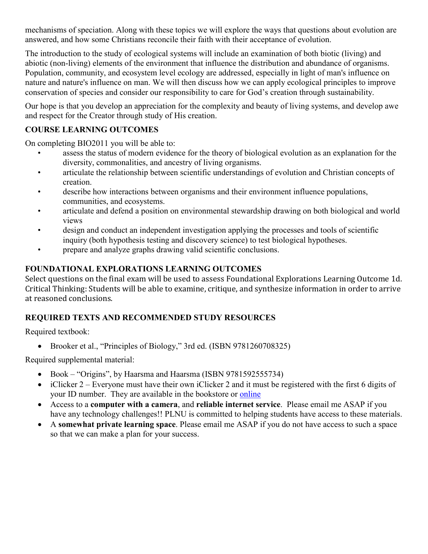mechanisms of speciation. Along with these topics we will explore the ways that questions about evolution are answered, and how some Christians reconcile their faith with their acceptance of evolution.

The introduction to the study of ecological systems will include an examination of both biotic (living) and abiotic (non-living) elements of the environment that influence the distribution and abundance of organisms. Population, community, and ecosystem level ecology are addressed, especially in light of man's influence on nature and nature's influence on man. We will then discuss how we can apply ecological principles to improve conservation of species and consider our responsibility to care for God's creation through sustainability.

Our hope is that you develop an appreciation for the complexity and beauty of living systems, and develop awe and respect for the Creator through study of His creation.

## **COURSE LEARNING OUTCOMES**

On completing BIO2011 you will be able to:

- assess the status of modern evidence for the theory of biological evolution as an explanation for the diversity, commonalities, and ancestry of living organisms.
- articulate the relationship between scientific understandings of evolution and Christian concepts of creation.
- describe how interactions between organisms and their environment influence populations, communities, and ecosystems.
- articulate and defend a position on environmental stewardship drawing on both biological and world views
- design and conduct an independent investigation applying the processes and tools of scientific inquiry (both hypothesis testing and discovery science) to test biological hypotheses.
- prepare and analyze graphs drawing valid scientific conclusions.

**FOUNDATIONAL EXPLORATIONS LEARNING OUTCOMES**<br>Select questions on the final exam will be used to assess Foundational Explorations Learning Outcome 1d. Critical Thinking: Students will be able to examine, critique, and synthesize information in order to arrive at reasoned conclusions.

## **REQUIRED TEXTS AND RECOMMENDED STUDY RESOURCES**

Required textbook:

• Brooker et al., "Principles of Biology," 3rd ed. (ISBN 9781260708325)

Required supplemental material:

- Book "Origins", by Haarsma and Haarsma (ISBN 9781592555734)
- iClicker 2 Everyone must have their own iClicker 2 and it must be registered with the first 6 digits of your ID number. They are available in the bookstore or [online](https://store.macmillanlearning.com/us/product/iClicker2-student-remote/p/1498603041)
- Access to a **computer with a camera**, and **reliable internet service**. Please email me ASAP if you have any technology challenges!! PLNU is committed to helping students have access to these materials.
- A **somewhat private learning space**. Please email me ASAP if you do not have access to such a space so that we can make a plan for your success.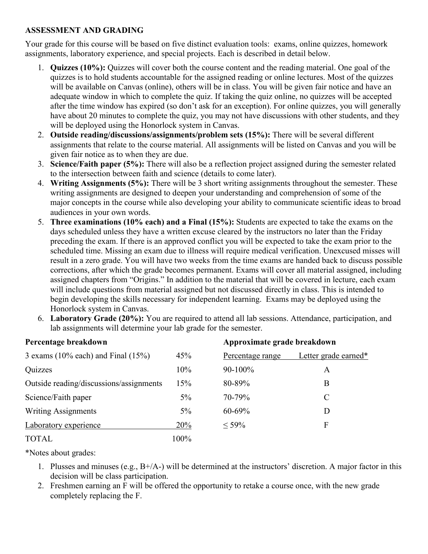#### **ASSESSMENT AND GRADING**

Your grade for this course will be based on five distinct evaluation tools: exams, online quizzes, homework assignments, laboratory experience, and special projects. Each is described in detail below.

- 1. **Quizzes (10%):** Quizzes will cover both the course content and the reading material. One goal of the quizzes is to hold students accountable for the assigned reading or online lectures. Most of the quizzes will be available on Canvas (online), others will be in class. You will be given fair notice and have an adequate window in which to complete the quiz. If taking the quiz online, no quizzes will be accepted after the time window has expired (so don't ask for an exception). For online quizzes, you will generally have about 20 minutes to complete the quiz, you may not have discussions with other students, and they will be deployed using the Honorlock system in Canvas.
- 2. **Outside reading/discussions/assignments/problem sets (15%):** There will be several different assignments that relate to the course material. All assignments will be listed on Canvas and you will be given fair notice as to when they are due.
- 3. **Science/Faith paper (5%):** There will also be a reflection project assigned during the semester related to the intersection between faith and science (details to come later).
- 4. **Writing Assignments (5%):** There will be 3 short writing assignments throughout the semester. These writing assignments are designed to deepen your understanding and comprehension of some of the major concepts in the course while also developing your ability to communicate scientific ideas to broad audiences in your own words.
- 5. **Three examinations (10% each) and a Final (15%):** Students are expected to take the exams on the days scheduled unless they have a written excuse cleared by the instructors no later than the Friday preceding the exam. If there is an approved conflict you will be expected to take the exam prior to the scheduled time. Missing an exam due to illness will require medical verification. Unexcused misses will result in a zero grade. You will have two weeks from the time exams are handed back to discuss possible corrections, after which the grade becomes permanent. Exams will cover all material assigned, including assigned chapters from "Origins." In addition to the material that will be covered in lecture, each exam will include questions from material assigned but not discussed directly in class. This is intended to begin developing the skills necessary for independent learning. Exams may be deployed using the Honorlock system in Canvas.
- 6. **Laboratory Grade (20%):** You are required to attend all lab sessions. Attendance, participation, and lab assignments will determine your lab grade for the semester.

| Percentage breakdown                     |       | Approximate grade breakdown |                      |  |
|------------------------------------------|-------|-----------------------------|----------------------|--|
| 3 exams $(10\%$ each) and Final $(15\%)$ | 45%   | Percentage range            | Letter grade earned* |  |
| Quizzes                                  | 10%   | 90-100%                     | A                    |  |
| Outside reading/discussions/assignments  | 15%   | 80-89%                      | B                    |  |
| Science/Faith paper                      | $5\%$ | 70-79%                      | $\mathcal{C}$        |  |
| <b>Writing Assignments</b>               | $5\%$ | $60 - 69%$                  | D                    |  |
| Laboratory experience                    | 20%   | $< 59\%$                    | F                    |  |
| <b>TOTAL</b>                             | 100%  |                             |                      |  |

\*Notes about grades:

- 1. Plusses and minuses (e.g., B+/A-) will be determined at the instructors' discretion. A major factor in this decision will be class participation.
- 2. Freshmen earning an F will be offered the opportunity to retake a course once, with the new grade completely replacing the F.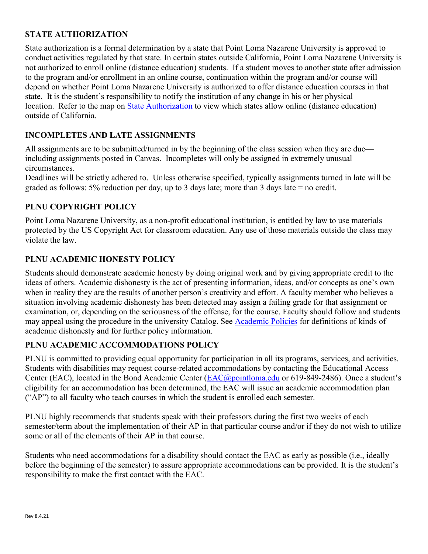## **STATE AUTHORIZATION**

State authorization is a formal determination by a state that Point Loma Nazarene University is approved to conduct activities regulated by that state. In certain states outside California, Point Loma Nazarene University is not authorized to enroll online (distance education) students. If a student moves to another state after admission to the program and/or enrollment in an online course, continuation within the program and/or course will depend on whether Point Loma Nazarene University is authorized to offer distance education courses in that state. It is the student's responsibility to notify the institution of any change in his or her physical location. Refer to the map on [State Authorization](https://www.pointloma.edu/offices/office-institutional-effectiveness-research/disclosures) to view which states allow online (distance education) outside of California.

## **INCOMPLETES AND LATE ASSIGNMENTS**

All assignments are to be submitted/turned in by the beginning of the class session when they are due including assignments posted in Canvas. Incompletes will only be assigned in extremely unusual circumstances.

Deadlines will be strictly adhered to. Unless otherwise specified, typically assignments turned in late will be graded as follows: 5% reduction per day, up to 3 days late; more than 3 days late = no credit.

#### **PLNU COPYRIGHT POLICY**

Point Loma Nazarene University, as a non-profit educational institution, is entitled by law to use materials protected by the US Copyright Act for classroom education. Any use of those materials outside the class may violate the law.

#### **PLNU ACADEMIC HONESTY POLICY**

Students should demonstrate academic honesty by doing original work and by giving appropriate credit to the ideas of others. Academic dishonesty is the act of presenting information, ideas, and/or concepts as one's own when in reality they are the results of another person's creativity and effort. A faculty member who believes a situation involving academic dishonesty has been detected may assign a failing grade for that assignment or examination, or, depending on the seriousness of the offense, for the course. Faculty should follow and students may appeal using the procedure in the university Catalog. See [Academic Policies](https://catalog.pointloma.edu/content.php?catoid=52&navoid=2919#Academic_Honesty) for definitions of kinds of academic dishonesty and for further policy information.

#### **PLNU ACADEMIC ACCOMMODATIONS POLICY**

PLNU is committed to providing equal opportunity for participation in all its programs, services, and activities. Students with disabilities may request course-related accommodations by contacting the Educational Access Center (EAC), located in the Bond Academic Center [\(EAC@pointloma.edu](mailto:EAC@pointloma.edu) or 619-849-2486). Once a student's eligibility for an accommodation has been determined, the EAC will issue an academic accommodation plan ("AP") to all faculty who teach courses in which the student is enrolled each semester.

PLNU highly recommends that students speak with their professors during the first two weeks of each semester/term about the implementation of their AP in that particular course and/or if they do not wish to utilize some or all of the elements of their AP in that course.

Students who need accommodations for a disability should contact the EAC as early as possible (i.e., ideally before the beginning of the semester) to assure appropriate accommodations can be provided. It is the student's responsibility to make the first contact with the EAC.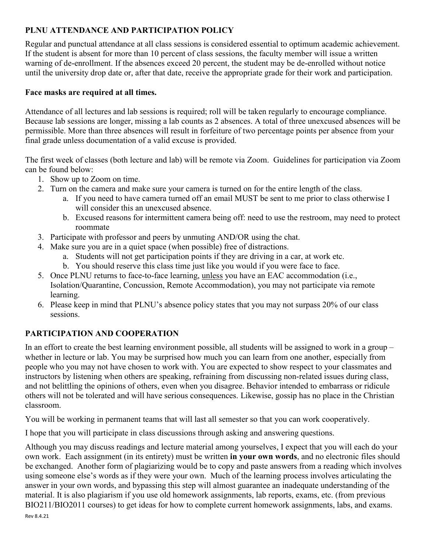## **PLNU ATTENDANCE AND PARTICIPATION POLICY**

Regular and punctual attendance at all class sessions is considered essential to optimum academic achievement. If the student is absent for more than 10 percent of class sessions, the faculty member will issue a written warning of de-enrollment. If the absences exceed 20 percent, the student may be de-enrolled without notice until the university drop date or, after that date, receive the appropriate grade for their work and participation.

### **Face masks are required at all times.**

Attendance of all lectures and lab sessions is required; roll will be taken regularly to encourage compliance. Because lab sessions are longer, missing a lab counts as 2 absences. A total of three unexcused absences will be permissible. More than three absences will result in forfeiture of two percentage points per absence from your final grade unless documentation of a valid excuse is provided.

The first week of classes (both lecture and lab) will be remote via Zoom. Guidelines for participation via Zoom can be found below:

- 1. Show up to Zoom on time.
- 2. Turn on the camera and make sure your camera is turned on for the entire length of the class.
	- a. If you need to have camera turned off an email MUST be sent to me prior to class otherwise I will consider this an unexcused absence.
	- b. Excused reasons for intermittent camera being off: need to use the restroom, may need to protect roommate
- 3. Participate with professor and peers by unmuting AND/OR using the chat.
- 4. Make sure you are in a quiet space (when possible) free of distractions.
	- a. Students will not get participation points if they are driving in a car, at work etc.
	- b. You should reserve this class time just like you would if you were face to face.
- 5. Once PLNU returns to face-to-face learning, unless you have an EAC accommodation (i.e., Isolation/Quarantine, Concussion, Remote Accommodation), you may not participate via remote learning.
- 6. Please keep in mind that PLNU's absence policy states that you may not surpass 20% of our class sessions.

## **PARTICIPATION AND COOPERATION**

In an effort to create the best learning environment possible, all students will be assigned to work in a group – whether in lecture or lab. You may be surprised how much you can learn from one another, especially from people who you may not have chosen to work with. You are expected to show respect to your classmates and instructors by listening when others are speaking, refraining from discussing non-related issues during class, and not belittling the opinions of others, even when you disagree. Behavior intended to embarrass or ridicule others will not be tolerated and will have serious consequences. Likewise, gossip has no place in the Christian classroom.

You will be working in permanent teams that will last all semester so that you can work cooperatively.

I hope that you will participate in class discussions through asking and answering questions.

Although you may discuss readings and lecture material among yourselves, I expect that you will each do your own work. Each assignment (in its entirety) must be written **in your own words**, and no electronic files should be exchanged. Another form of plagiarizing would be to copy and paste answers from a reading which involves using someone else's words as if they were your own. Much of the learning process involves articulating the answer in your own words, and bypassing this step will almost guarantee an inadequate understanding of the material. It is also plagiarism if you use old homework assignments, lab reports, exams, etc. (from previous BIO211/BIO2011 courses) to get ideas for how to complete current homework assignments, labs, and exams.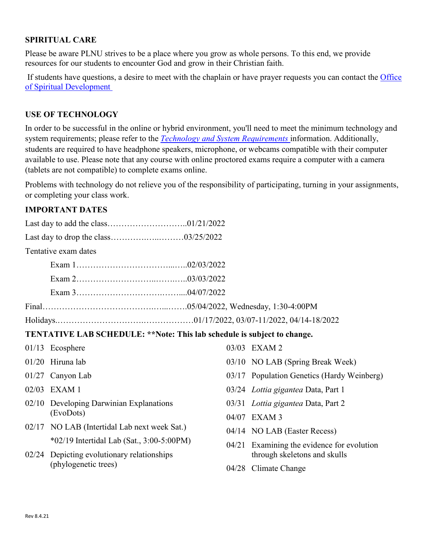#### **SPIRITUAL CARE**

Please be aware PLNU strives to be a place where you grow as whole persons. To this end, we provide resources for our students to encounter God and grow in their Christian faith.

If students have questions, a desire to meet with the chaplain or have prayer requests you can contact the Office [of Spiritual Development](https://www.pointloma.edu/offices/spiritual-development)

#### **USE OF TECHNOLOGY**

In order to be successful in the online or hybrid environment, you'll need to meet the minimum technology and system requirements; please refer to the *[Technology and System Requirements](https://help.pointloma.edu/TDClient/1808/Portal/KB/ArticleDet?ID=108349)* information. Additionally, students are required to have headphone speakers, microphone, or webcams compatible with their computer available to use. Please note that any course with online proctored exams require a computer with a camera (tablets are not compatible) to complete exams online.

Problems with technology do not relieve you of the responsibility of participating, turning in your assignments, or completing your class work.

#### **IMPORTANT DATES**

|                                                                         | Tentative exam dates                                               |       |                                            |  |  |  |  |
|-------------------------------------------------------------------------|--------------------------------------------------------------------|-------|--------------------------------------------|--|--|--|--|
|                                                                         |                                                                    |       |                                            |  |  |  |  |
|                                                                         |                                                                    |       |                                            |  |  |  |  |
|                                                                         |                                                                    |       |                                            |  |  |  |  |
|                                                                         |                                                                    |       |                                            |  |  |  |  |
|                                                                         |                                                                    |       |                                            |  |  |  |  |
| TENTATIVE LAB SCHEDULE: **Note: This lab schedule is subject to change. |                                                                    |       |                                            |  |  |  |  |
|                                                                         | $01/13$ Ecosphere                                                  |       | 03/03 EXAM 2                               |  |  |  |  |
|                                                                         | 01/20 Hiruna lab                                                   |       | 03/10 NO LAB (Spring Break Week)           |  |  |  |  |
|                                                                         | 01/27 Canyon Lab                                                   |       | 03/17 Population Genetics (Hardy Weinberg) |  |  |  |  |
|                                                                         | 02/03 EXAM 1                                                       |       | 03/24 <i>Lottia gigantea</i> Data, Part 1  |  |  |  |  |
|                                                                         | 02/10 Developing Darwinian Explanations<br>(EvoDots)               |       | 03/31 Lottia gigantea Data, Part 2         |  |  |  |  |
|                                                                         |                                                                    | 04/07 | EXAM <sub>3</sub>                          |  |  |  |  |
|                                                                         | 02/17 NO LAB (Intertidal Lab next week Sat.)                       |       | 04/14 NO LAB (Easter Recess)               |  |  |  |  |
|                                                                         | *02/19 Intertidal Lab (Sat., 3:00-5:00PM)                          |       | Examining the evidence for evolution       |  |  |  |  |
|                                                                         | 02/24 Depicting evolutionary relationships<br>(phylogenetic trees) |       | through skeletons and skulls               |  |  |  |  |
|                                                                         |                                                                    |       | 04/28 Climate Change                       |  |  |  |  |